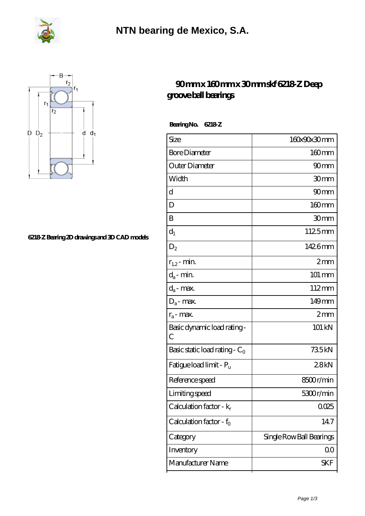



## **[6218-Z Bearing 2D drawings and 3D CAD models](https://m.fergusonheatncool.com/pic-64966412.html)**

## **[90 mm x 160 mm x 30 mm skf 6218-Z Deep](https://m.fergusonheatncool.com/au-64966412-skf-6218-z-deep-groove-ball-bearings.html) [groove ball bearings](https://m.fergusonheatncool.com/au-64966412-skf-6218-z-deep-groove-ball-bearings.html)**

 **Bearing No. 6218-Z**

| $160 \text{mm}$<br>90 <sub>mm</sub><br>30mm<br>90 <sub>mm</sub><br>$160$ mm<br>30mm<br>1125mm<br>1426mm |
|---------------------------------------------------------------------------------------------------------|
|                                                                                                         |
|                                                                                                         |
|                                                                                                         |
|                                                                                                         |
|                                                                                                         |
|                                                                                                         |
|                                                                                                         |
|                                                                                                         |
| 2mm                                                                                                     |
| 101 mm                                                                                                  |
| $112 \text{mm}$                                                                                         |
| 149mm                                                                                                   |
| 2mm                                                                                                     |
| 101 kN                                                                                                  |
| 735kN                                                                                                   |
| 28kN                                                                                                    |
| 8500r/min                                                                                               |
| 5300r/min                                                                                               |
| 0025                                                                                                    |
| 147                                                                                                     |
| Single Row Ball Bearings                                                                                |
| 00                                                                                                      |
| SKF                                                                                                     |
|                                                                                                         |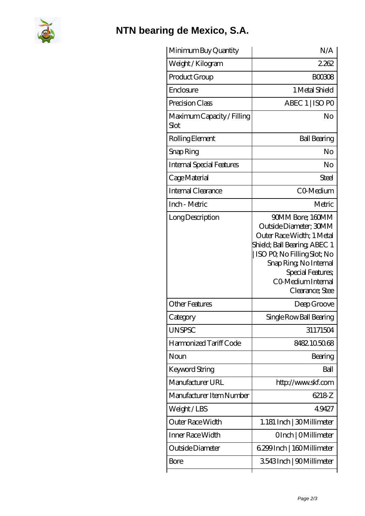

## **[NTN bearing de Mexico, S.A.](https://m.fergusonheatncool.com)**

| Minimum Buy Quantity               | N/A                                                                                                                                                                                                                            |
|------------------------------------|--------------------------------------------------------------------------------------------------------------------------------------------------------------------------------------------------------------------------------|
| Weight /Kilogram                   | 2262                                                                                                                                                                                                                           |
| Product Group                      | BOO3O8                                                                                                                                                                                                                         |
| Enclosure                          | 1 Metal Shield                                                                                                                                                                                                                 |
| Precision Class                    | ABEC 1   ISO PO                                                                                                                                                                                                                |
| Maximum Capacity / Filling<br>Slot | No                                                                                                                                                                                                                             |
| Rolling Element                    | <b>Ball Bearing</b>                                                                                                                                                                                                            |
| Snap Ring                          | No                                                                                                                                                                                                                             |
| <b>Internal Special Features</b>   | No                                                                                                                                                                                                                             |
| Cage Material                      | Steel                                                                                                                                                                                                                          |
| Internal Clearance                 | CO-Medium                                                                                                                                                                                                                      |
| Inch - Metric                      | Metric                                                                                                                                                                                                                         |
| Long Description                   | 90MM Bore; 160MM<br>Outside Diameter; 30MM<br>Outer Race Width; 1 Metal<br>Shield; Ball Bearing; ABEC 1<br>ISO PO, No Filling Slot; No<br>Snap Ring, No Internal<br>Special Features;<br>CO Medium Internal<br>Clearance; Stee |
| <b>Other Features</b>              | Deep Groove                                                                                                                                                                                                                    |
| Category                           | Single Row Ball Bearing                                                                                                                                                                                                        |
| <b>UNSPSC</b>                      | 31171504                                                                                                                                                                                                                       |
| Harmonized Tariff Code             | 8482105068                                                                                                                                                                                                                     |
| Noun                               | Bearing                                                                                                                                                                                                                        |
| Keyword String                     | Ball                                                                                                                                                                                                                           |
| Manufacturer URL                   | http://www.skf.com                                                                                                                                                                                                             |
| Manufacturer Item Number           | 6218 <sub>Z</sub>                                                                                                                                                                                                              |
| Weight/LBS                         | 49427                                                                                                                                                                                                                          |
| Outer Race Width                   | 1.181 Inch   30 Millimeter                                                                                                                                                                                                     |
| Inner Race Width                   | OInch   OMillimeter                                                                                                                                                                                                            |
| Outside Diameter                   | 6.299 Inch   160 Millimeter                                                                                                                                                                                                    |
| Bore                               | 3543Inch   90Millimeter                                                                                                                                                                                                        |
|                                    |                                                                                                                                                                                                                                |